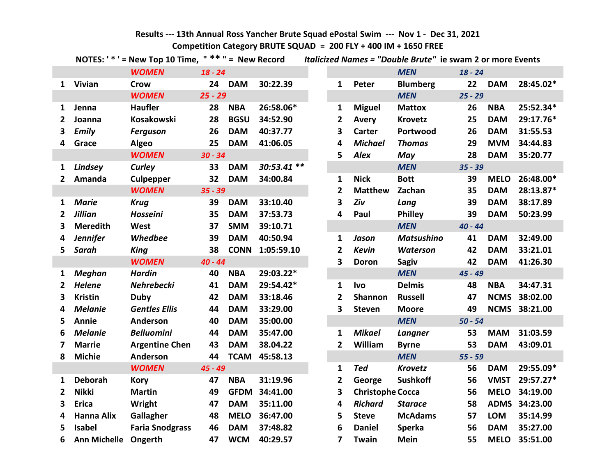# **Results --- 13th Annual Ross Yancher Brute Squad ePostal Swim --- Nov 1 - Dec 31, 2021 Competition Category BRUTE SQUAD = 200 FLY + 400 IM + 1650 FREE**

|                |                      | NOTES: ' * ' = New Top 10 Time, $"$ * * " = New Record |           |             |             |                |                         | Italicized Names = "Double Brute" ie swam 2 or more Events |           |             |               |
|----------------|----------------------|--------------------------------------------------------|-----------|-------------|-------------|----------------|-------------------------|------------------------------------------------------------|-----------|-------------|---------------|
|                |                      | <b>WOMEN</b>                                           | $18 - 24$ |             |             |                |                         | <b>MEN</b>                                                 | $18 - 24$ |             |               |
|                | 1 Vivian             | <b>Crow</b>                                            |           | 24 DAM      | 30:22.39    | $\mathbf{1}$   | Peter                   | <b>Blumberg</b>                                            | 22        | <b>DAM</b>  | 28:45.02*     |
|                |                      | <b>WOMEN</b>                                           | $25 - 29$ |             |             |                |                         | <b>MEN</b>                                                 | $25 - 29$ |             |               |
| 1              | Jenna                | <b>Haufler</b>                                         | 28        | <b>NBA</b>  | 26:58.06*   | $\mathbf{1}$   | <b>Miguel</b>           | <b>Mattox</b>                                              | 26        | <b>NBA</b>  | 25:52.34*     |
| 2              | Joanna               | Kosakowski                                             | 28        | <b>BGSU</b> | 34:52.90    | 2              | Avery                   | <b>Krovetz</b>                                             | 25        | <b>DAM</b>  | 29:17.76*     |
| 3              | <b>Emily</b>         | <b>Ferguson</b>                                        | 26        | <b>DAM</b>  | 40:37.77    | 3              | <b>Carter</b>           | Portwood                                                   | 26        | <b>DAM</b>  | 31:55.53      |
| 4              | Grace                | <b>Algeo</b>                                           | 25        | <b>DAM</b>  | 41:06.05    | 4              | <b>Michael</b>          | <b>Thomas</b>                                              | 29        | <b>MVM</b>  | 34:44.83      |
|                |                      | <b>WOMEN</b>                                           | $30 - 34$ |             |             | 5              | <b>Alex</b>             | May                                                        | 28        | <b>DAM</b>  | 35:20.77      |
| 1              | Lindsey              | Curley                                                 | 33        | <b>DAM</b>  | 30:53.41 ** |                |                         | <b>MEN</b>                                                 | $35 - 39$ |             |               |
| $\overline{2}$ | Amanda               | <b>Culpepper</b>                                       | 32        | <b>DAM</b>  | 34:00.84    | 1              | <b>Nick</b>             | <b>Bott</b>                                                | 39        | <b>MELO</b> | 26:48.00*     |
|                |                      | <b>WOMEN</b>                                           | $35 - 39$ |             |             | 2              | <b>Matthew</b>          | Zachan                                                     | 35        | <b>DAM</b>  | 28:13.87*     |
| 1              | <b>Marie</b>         | <b>Krug</b>                                            | 39        | <b>DAM</b>  | 33:10.40    | 3              | Ziv                     | Lang                                                       | 39        | <b>DAM</b>  | 38:17.89      |
| $\overline{2}$ | <b>Jillian</b>       | <b>Hosseini</b>                                        | 35        | <b>DAM</b>  | 37:53.73    | 4              | Paul                    | <b>Philley</b>                                             | 39        | <b>DAM</b>  | 50:23.99      |
| 3              | <b>Meredith</b>      | West                                                   | 37        | <b>SMM</b>  | 39:10.71    |                |                         | <b>MEN</b>                                                 | $40 - 44$ |             |               |
| 4              | <b>Jennifer</b>      | <b>Whedbee</b>                                         | 39        | <b>DAM</b>  | 40:50.94    | 1              | Jason                   | <b>Matsushino</b>                                          | 41        | <b>DAM</b>  | 32:49.00      |
| 5              | Sarah                | <b>King</b>                                            | 38        | <b>CONN</b> | 1:05:59.10  | $\overline{2}$ | <b>Kevin</b>            | <b>Waterson</b>                                            | 42        | <b>DAM</b>  | 33:21.01      |
|                |                      | <b>WOMEN</b>                                           | $40 - 44$ |             |             | 3              | <b>Doron</b>            | <b>Sagiv</b>                                               | 42        | <b>DAM</b>  | 41:26.30      |
| 1              | <b>Meghan</b>        | <b>Hardin</b>                                          | 40        | <b>NBA</b>  | 29:03.22*   |                |                         | <b>MEN</b>                                                 | $45 - 49$ |             |               |
| $\mathbf{2}$   | <b>Helene</b>        | <b>Nehrebecki</b>                                      | 41        | <b>DAM</b>  | 29:54.42*   | $\mathbf{1}$   | <b>Ivo</b>              | <b>Delmis</b>                                              | 48        | <b>NBA</b>  | 34:47.31      |
| 3              | <b>Kristin</b>       | <b>Duby</b>                                            | 42        | <b>DAM</b>  | 33:18.46    | $\overline{2}$ | Shannon                 | <b>Russell</b>                                             | 47        | <b>NCMS</b> | 38:02.00      |
| 4              | <b>Melanie</b>       | <b>Gentles Ellis</b>                                   | 44        | <b>DAM</b>  | 33:29.00    | 3              | <b>Steven</b>           | <b>Moore</b>                                               | 49        |             | NCMS 38:21.00 |
| 5              | Annie                | Anderson                                               | 40        | <b>DAM</b>  | 35:00.00    |                |                         | <b>MEN</b>                                                 | $50 - 54$ |             |               |
| 6              | <b>Melanie</b>       | <b>Belluomini</b>                                      | 44        | <b>DAM</b>  | 35:47.00    | 1              | <b>Mikael</b>           | Langner                                                    | 53        | <b>MAM</b>  | 31:03.59      |
| 7              | <b>Marrie</b>        | <b>Argentine Chen</b>                                  | 43        | <b>DAM</b>  | 38.04.22    | $\overline{2}$ | William                 | <b>Byrne</b>                                               | 53        | <b>DAM</b>  | 43:09.01      |
| 8              | <b>Michie</b>        | Anderson                                               | 44        | <b>TCAM</b> | 45:58.13    |                |                         | <b>MEN</b>                                                 | $55 - 59$ |             |               |
|                |                      | <b>WOMEN</b>                                           | $45 - 49$ |             |             | 1              | <b>Ted</b>              | <b>Krovetz</b>                                             | 56        | <b>DAM</b>  | 29:55.09*     |
| 1              | Deborah              | <b>Kory</b>                                            | 47        | <b>NBA</b>  | 31:19.96    | $\mathbf{2}$   | George                  | <b>Sushkoff</b>                                            | 56        | <b>VMST</b> | 29:57.27*     |
| $\mathbf{2}$   | <b>Nikki</b>         | <b>Martin</b>                                          | 49        | <b>GFDM</b> | 34:41.00    | 3              | <b>Christophe Cocca</b> |                                                            | 56        | <b>MELO</b> | 34:19.00      |
| 3              | <b>Erica</b>         | Wright                                                 | 47        | <b>DAM</b>  | 35:11.00    | 4              | <b>Richard</b>          | <b>Starace</b>                                             | 58        |             | ADMS 34:23.00 |
| 4              | <b>Hanna Alix</b>    | Gallagher                                              | 48        | <b>MELO</b> | 36:47.00    | 5              | <b>Steve</b>            | <b>McAdams</b>                                             | 57        | <b>LOM</b>  | 35:14.99      |
| 5              | <b>Isabel</b>        | <b>Faria Snodgrass</b>                                 | 46        | <b>DAM</b>  | 37:48.82    | 6              | <b>Daniel</b>           | <b>Sperka</b>                                              | 56        | <b>DAM</b>  | 35:27.00      |
| 6              | Ann Michelle Ongerth |                                                        | 47        | <b>WCM</b>  | 40:29.57    | $\overline{7}$ | Twain                   | Mein                                                       | 55        | <b>MELO</b> | 35:51.00      |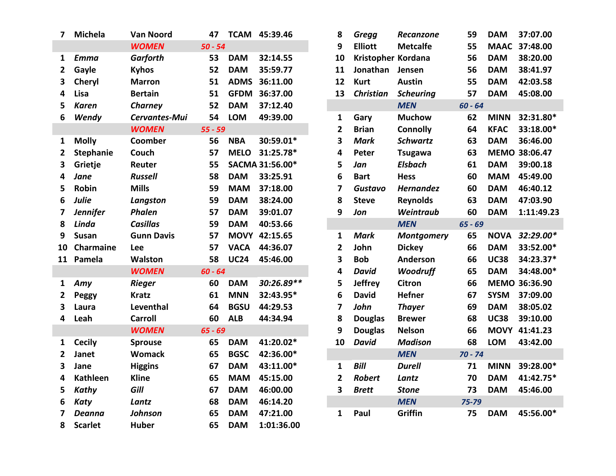| 7            | <b>Michela</b>   | <b>Van Noord</b>  | 47        |             | TCAM 45:39.46   | 8              | Gregg              | Recanzone         | 59        | <b>DAM</b>  | 37:07.00      |
|--------------|------------------|-------------------|-----------|-------------|-----------------|----------------|--------------------|-------------------|-----------|-------------|---------------|
|              |                  | <b>WOMEN</b>      | $50 - 54$ |             |                 | 9              | <b>Elliott</b>     | <b>Metcalfe</b>   | 55        |             | MAAC 37:48.00 |
| 1            | <b>Emma</b>      | <b>Garforth</b>   | 53        | <b>DAM</b>  | 32:14.55        | 10             | Kristopher Kordana |                   | 56        | <b>DAM</b>  | 38:20.00      |
| $\mathbf{2}$ | Gayle            | <b>Kyhos</b>      | 52        | <b>DAM</b>  | 35:59.77        | 11             | Jonathan           | Jensen            | 56        | <b>DAM</b>  | 38:41.97      |
| 3            | Cheryl           | <b>Marron</b>     | 51        |             | ADMS 36:11.00   | 12             | <b>Kurt</b>        | <b>Austin</b>     | 55        | <b>DAM</b>  | 42:03.58      |
| 4            | Lisa             | <b>Bertain</b>    | 51        |             | GFDM 36:37.00   | 13             | <b>Christian</b>   | <b>Scheuring</b>  | 57        | <b>DAM</b>  | 45:08.00      |
| 5            | <b>Karen</b>     | <b>Charney</b>    | 52        | <b>DAM</b>  | 37:12.40        |                |                    | <b>MEN</b>        | $60 - 64$ |             |               |
| 6            | Wendy            | Cervantes-Mui     | 54        | <b>LOM</b>  | 49:39.00        | 1              | Gary               | <b>Muchow</b>     | 62        | <b>MINN</b> | 32:31.80*     |
|              |                  | <b>WOMEN</b>      | $55 - 59$ |             |                 | $\overline{2}$ | <b>Brian</b>       | <b>Connolly</b>   | 64        | <b>KFAC</b> | 33:18.00*     |
| 1            | <b>Molly</b>     | Coomber           | 56        | <b>NBA</b>  | 30:59.01*       | 3              | <b>Mark</b>        | <b>Schwartz</b>   | 63        | <b>DAM</b>  | 36:46.00      |
| 2            | <b>Stephanie</b> | Couch             | 57        | <b>MELO</b> | 31:25.78*       | 4              | Peter              | <b>Tsugawa</b>    | 63        |             | MEMO 38:06.47 |
| 3            | Grietje          | Reuter            | 55        |             | SACMA 31:56.00* | 5              | Jan                | <b>Elsbach</b>    | 61        | <b>DAM</b>  | 39:00.18      |
| 4            | Jane             | <b>Russell</b>    | 58        | <b>DAM</b>  | 33:25.91        | 6              | <b>Bart</b>        | <b>Hess</b>       | 60        | <b>MAM</b>  | 45:49.00      |
| 5            | <b>Robin</b>     | <b>Mills</b>      | 59        | <b>MAM</b>  | 37:18.00        | $\overline{7}$ | <b>Gustavo</b>     | <b>Hernandez</b>  | 60        | <b>DAM</b>  | 46:40.12      |
| 6            | Julie            | Langston          | 59        | <b>DAM</b>  | 38:24.00        | 8              | <b>Steve</b>       | <b>Reynolds</b>   | 63        | <b>DAM</b>  | 47:03.90      |
| 7            | <b>Jennifer</b>  | <b>Phalen</b>     | 57        | <b>DAM</b>  | 39:01.07        | 9              | Jon                | Weintraub         | 60        | <b>DAM</b>  | 1:11:49.23    |
| 8            | Linda            | <b>Casillas</b>   | 59        | <b>DAM</b>  | 40:53.66        |                |                    | <b>MEN</b>        | $65 - 69$ |             |               |
| 9            | <b>Susan</b>     | <b>Gunn Davis</b> | 57        |             | MOVY 42:15.65   | $\mathbf{1}$   | <b>Mark</b>        | <b>Montgomery</b> | 65        | <b>NOVA</b> | 32:29.00*     |
| 10           | Charmaine        | Lee               | 57        | <b>VACA</b> | 44:36.07        | $\overline{2}$ | John               | <b>Dickey</b>     | 66        | <b>DAM</b>  | 33:52.00*     |
| 11           | Pamela           | <b>Walston</b>    | 58        | <b>UC24</b> | 45:46.00        | 3              | <b>Bob</b>         | Anderson          | 66        | <b>UC38</b> | 34:23.37*     |
|              |                  | <b>WOMEN</b>      | $60 - 64$ |             |                 | 4              | <b>David</b>       | <b>Woodruff</b>   | 65        | <b>DAM</b>  | 34:48.00*     |
| 1            | Amy              | <b>Rieger</b>     | 60        | <b>DAM</b>  | 30:26.89**      | 5              | <b>Jeffrey</b>     | <b>Citron</b>     | 66        |             | MEMO 36:36.90 |
| 2            | <b>Peggy</b>     | <b>Kratz</b>      | 61        | <b>MNN</b>  | 32:43.95*       | 6              | <b>David</b>       | <b>Hefner</b>     | 67        | <b>SYSM</b> | 37:09.00      |
| 3            | Laura            | Leventhal         | 64        | <b>BGSU</b> | 44:29.53        | $\overline{7}$ | John               | <b>Thayer</b>     | 69        | <b>DAM</b>  | 38:05.02      |
| 4            | Leah             | <b>Carroll</b>    | 60        | <b>ALB</b>  | 44:34.94        | 8              | <b>Douglas</b>     | <b>Brewer</b>     | 68        | <b>UC38</b> | 39:10.00      |
|              |                  | <b>WOMEN</b>      | $65 - 69$ |             |                 | 9              | <b>Douglas</b>     | <b>Nelson</b>     | 66        | <b>MOVY</b> | 41:41.23      |
| 1            | <b>Cecily</b>    | <b>Sprouse</b>    | 65        | <b>DAM</b>  | 41:20.02*       | 10             | <b>David</b>       | <b>Madison</b>    | 68        | <b>LOM</b>  | 43:42.00      |
| $\mathbf{2}$ | Janet            | <b>Womack</b>     | 65        | <b>BGSC</b> | 42:36.00*       |                |                    | <b>MEN</b>        | $70 - 74$ |             |               |
| 3            | Jane             | <b>Higgins</b>    | 67        | <b>DAM</b>  | 43:11.00*       | $\mathbf{1}$   | <b>Bill</b>        | <b>Durell</b>     | 71        | <b>MINN</b> | 39:28.00*     |
| 4            | <b>Kathleen</b>  | <b>Kline</b>      | 65        | <b>MAM</b>  | 45:15.00        | $\overline{2}$ | <b>Robert</b>      | Lantz             | 70        | <b>DAM</b>  | 41:42.75*     |
| 5.           | Kathy            | Gill              | 67        | <b>DAM</b>  | 46:00.00        | 3              | <b>Brett</b>       | <b>Stone</b>      | 73        | <b>DAM</b>  | 45:46.00      |
| 6            | <b>Katy</b>      | Lantz             | 68        | <b>DAM</b>  | 46:14.20        |                |                    | <b>MEN</b>        | 75-79     |             |               |
| 7            | <b>Deanna</b>    | <b>Johnson</b>    | 65        | <b>DAM</b>  | 47:21.00        | $\mathbf{1}$   | Paul               | Griffin           | 75        | <b>DAM</b>  | 45:56.00*     |
| 8            | <b>Scarlet</b>   | <b>Huber</b>      | 65        | <b>DAM</b>  | 1:01:36.00      |                |                    |                   |           |             |               |

| <b>Van Noord</b>  | 47        |             | TCAM 45:39.46   | 8                       | <b>Gregg</b>       | Recanzone         | 59        | <b>DAM</b>  | 37:07.00      |
|-------------------|-----------|-------------|-----------------|-------------------------|--------------------|-------------------|-----------|-------------|---------------|
| <b>WOMEN</b>      | $50 - 54$ |             |                 | 9                       | <b>Elliott</b>     | <b>Metcalfe</b>   | 55        |             | MAAC 37:48.00 |
| Garforth          | 53        | <b>DAM</b>  | 32:14.55        | 10                      | Kristopher Kordana |                   | 56        | <b>DAM</b>  | 38:20.00      |
| <b>Kyhos</b>      | 52        | <b>DAM</b>  | 35:59.77        | 11                      | Jonathan           | Jensen            | 56        | <b>DAM</b>  | 38:41.97      |
| <b>Marron</b>     | 51        | <b>ADMS</b> | 36:11.00        | 12                      | <b>Kurt</b>        | <b>Austin</b>     | 55        | <b>DAM</b>  | 42:03.58      |
| <b>Bertain</b>    | 51        | <b>GFDM</b> | 36:37.00        | 13                      | <b>Christian</b>   | <b>Scheuring</b>  | 57        | <b>DAM</b>  | 45:08.00      |
| Charney           | 52        | <b>DAM</b>  | 37:12.40        |                         |                    | <b>MEN</b>        | $60 - 64$ |             |               |
| Cervantes-Mui     | 54        | <b>LOM</b>  | 49:39.00        | $\mathbf{1}$            | Gary               | <b>Muchow</b>     | 62        | <b>MINN</b> | 32:31.80*     |
| <b>WOMEN</b>      | $55 - 59$ |             |                 | $\overline{2}$          | <b>Brian</b>       | <b>Connolly</b>   | 64        | <b>KFAC</b> | 33:18.00*     |
| Coomber           | 56        | <b>NBA</b>  | 30:59.01*       | 3                       | <b>Mark</b>        | <b>Schwartz</b>   | 63        | <b>DAM</b>  | 36:46.00      |
| Couch             | 57        | <b>MELO</b> | 31:25.78*       | $\overline{\mathbf{4}}$ | Peter              | <b>Tsugawa</b>    | 63        |             | MEMO 38:06.47 |
| Reuter            | 55        |             | SACMA 31:56.00* | 5                       | Jan                | <b>Elsbach</b>    | 61        | <b>DAM</b>  | 39:00.18      |
| <b>Russell</b>    | 58        | <b>DAM</b>  | 33:25.91        | 6                       | <b>Bart</b>        | <b>Hess</b>       | 60        | <b>MAM</b>  | 45:49.00      |
| <b>Mills</b>      | 59        | <b>MAM</b>  | 37:18.00        | 7                       | <b>Gustavo</b>     | <b>Hernandez</b>  | 60        | <b>DAM</b>  | 46:40.12      |
| Langston          | 59        | <b>DAM</b>  | 38:24.00        | 8                       | <b>Steve</b>       | <b>Reynolds</b>   | 63        | <b>DAM</b>  | 47:03.90      |
| Phalen            | 57        | <b>DAM</b>  | 39:01.07        | 9                       | Jon                | Weintraub         | 60        | <b>DAM</b>  | 1:11:49.23    |
| <b>Casillas</b>   | 59        | <b>DAM</b>  | 40:53.66        |                         |                    | <b>MEN</b>        | $65 - 69$ |             |               |
| <b>Gunn Davis</b> | 57        |             | MOVY 42:15.65   | $\mathbf{1}$            | <b>Mark</b>        | <b>Montgomery</b> | 65        | <b>NOVA</b> | 32:29.00*     |
| Lee               | 57        | <b>VACA</b> | 44:36.07        | $\overline{\mathbf{2}}$ | John               | <b>Dickey</b>     | 66        | <b>DAM</b>  | 33:52.00*     |
| Walston           | 58        | <b>UC24</b> | 45:46.00        | 3                       | <b>Bob</b>         | Anderson          | 66        | <b>UC38</b> | 34:23.37*     |
| <b>WOMEN</b>      | $60 - 64$ |             |                 | 4                       | <b>David</b>       | Woodruff          | 65        | <b>DAM</b>  | 34:48.00*     |
| Rieger            | 60        | <b>DAM</b>  | 30:26.89**      | 5                       | <b>Jeffrey</b>     | <b>Citron</b>     | 66        |             | MEMO 36:36.90 |
| <b>Kratz</b>      | 61        | <b>MNN</b>  | 32:43.95*       | $6\phantom{1}6$         | <b>David</b>       | <b>Hefner</b>     | 67        | <b>SYSM</b> | 37:09.00      |
| Leventhal         | 64        | <b>BGSU</b> | 44:29.53        | 7                       | John               | <b>Thayer</b>     | 69        | <b>DAM</b>  | 38:05.02      |
| <b>Carroll</b>    | 60        | <b>ALB</b>  | 44:34.94        | 8                       | <b>Douglas</b>     | <b>Brewer</b>     | 68        | <b>UC38</b> | 39:10.00      |
| <b>WOMEN</b>      | $65 - 69$ |             |                 | 9                       | <b>Douglas</b>     | <b>Nelson</b>     | 66        |             | MOVY 41:41.23 |
| <b>Sprouse</b>    | 65        | <b>DAM</b>  | 41:20.02*       | 10                      | <b>David</b>       | <b>Madison</b>    | 68        | <b>LOM</b>  | 43:42.00      |
| Womack            | 65        | <b>BGSC</b> | 42:36.00*       |                         |                    | <b>MEN</b>        | $70 - 74$ |             |               |
| <b>Higgins</b>    | 67        | <b>DAM</b>  | 43:11.00*       | $\mathbf{1}$            | <b>Bill</b>        | <b>Durell</b>     | 71        | <b>MINN</b> | 39:28.00*     |
| <b>Kline</b>      | 65        | <b>MAM</b>  | 45:15.00        | $\overline{\mathbf{2}}$ | <b>Robert</b>      | Lantz             | 70        | <b>DAM</b>  | 41:42.75*     |
| Gill              | 67        | <b>DAM</b>  | 46:00.00        | 3                       | <b>Brett</b>       | <b>Stone</b>      | 73        | <b>DAM</b>  | 45:46.00      |
| Lantz             | 68        | <b>DAM</b>  | 46:14.20        |                         |                    | <b>MEN</b>        | 75-79     |             |               |
| Johnson           | 65        | <b>DAM</b>  | 47:21.00        | 1                       | Paul               | Griffin           | 75        | <b>DAM</b>  | 45:56.00*     |
|                   |           |             |                 |                         |                    |                   |           |             |               |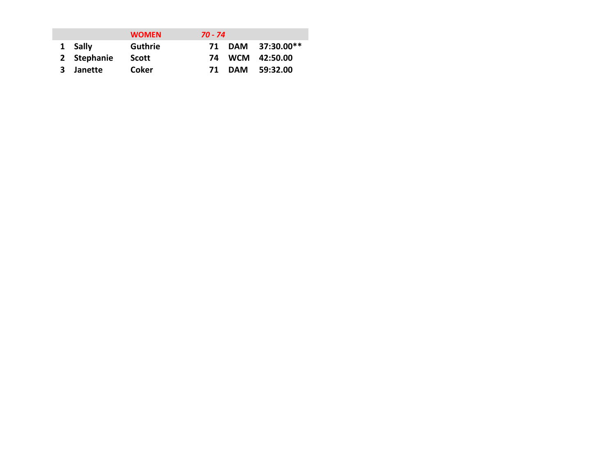|             | <b>WOMEN</b>   | 70 - 74 |                   |
|-------------|----------------|---------|-------------------|
| 1 Sally     | <b>Guthrie</b> |         | 71 DAM 37:30.00** |
| 2 Stephanie | Scott          |         | 74 WCM 42:50.00   |
| 3 Janette   | Coker          |         | 71 DAM 59:32.00   |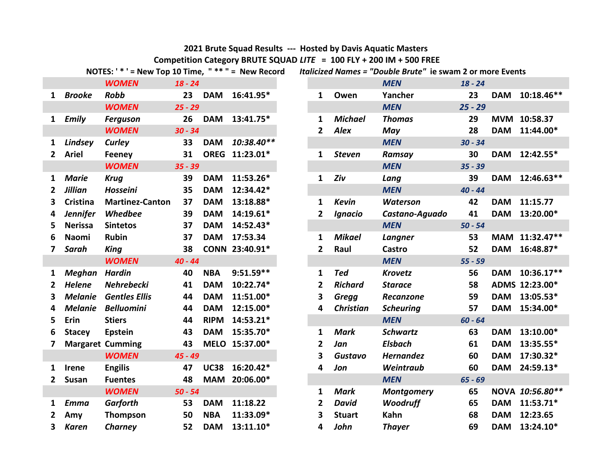### **2021 Brute Squad Results --- Hosted by Davis Aquatic Masters**

**Competition Category BRUTE SQUAD** *LITE* **= 100 FLY + 200 IM + 500 FREE<br>NOTFS: ' \* ' = New Top 10 Time. " \*\* " = New Record** *Italicized Names = "Double Brute***" ie s** 

|                         | $1$ vully.      | $-$ INCM TOP TO THIS,   |           |             | - ועכשט ווכנטוע |                |                  | Rancized Names - Double brate | $\mathbf{C}$ swall $\mathbf{L}$ VI II |
|-------------------------|-----------------|-------------------------|-----------|-------------|-----------------|----------------|------------------|-------------------------------|---------------------------------------|
|                         |                 | <b>WOMEN</b>            | $18 - 24$ |             |                 |                |                  | <b>MEN</b>                    | $18 - 24$                             |
| 1                       | <b>Brooke</b>   | <b>Robb</b>             | 23        | <b>DAM</b>  | 16:41.95*       | $\mathbf{1}$   | Owen             | Yancher                       | 23                                    |
|                         |                 | <b>WOMEN</b>            | $25 - 29$ |             |                 |                |                  | <b>MEN</b>                    | $25 - 29$                             |
| 1                       | <b>Emily</b>    | <b>Ferguson</b>         | 26        | <b>DAM</b>  | 13:41.75*       | $\mathbf{1}$   | <b>Michael</b>   | <b>Thomas</b>                 | 29                                    |
|                         |                 | <b>WOMEN</b>            | $30 - 34$ |             |                 | 2              | <b>Alex</b>      | May                           | 28                                    |
| 1                       | Lindsey         | Curley                  | 33        | <b>DAM</b>  | 10:38.40**      |                |                  | <b>MEN</b>                    | $30 - 34$                             |
| 2                       | <b>Ariel</b>    | Feeney                  | 31        | <b>OREG</b> | $11:23.01*$     | 1              | <b>Steven</b>    | Ramsay                        | 30                                    |
|                         |                 | <b>WOMEN</b>            | $35 - 39$ |             |                 |                |                  | <b>MEN</b>                    | $35 - 39$                             |
| 1                       | <b>Marie</b>    | <b>Krug</b>             | 39        | <b>DAM</b>  | 11:53.26*       | 1              | Ziv              | Lang                          | 39                                    |
| $\overline{2}$          | <b>Jillian</b>  | Hosseini                | 35        | <b>DAM</b>  | 12:34.42*       |                |                  | <b>MEN</b>                    | $40 - 44$                             |
| 3                       | <b>Cristina</b> | <b>Martinez-Canton</b>  | 37        | <b>DAM</b>  | 13:18.88*       | 1              | <b>Kevin</b>     | <b>Waterson</b>               | 42                                    |
| 4                       | <b>Jennifer</b> | Whedbee                 | 39        | <b>DAM</b>  | 14:19.61*       | 2              | Ignacio          | Castano-Aguado                | 41                                    |
| 5                       | <b>Nerissa</b>  | <b>Sintetos</b>         | 37        | <b>DAM</b>  | 14:52.43*       |                |                  | <b>MEN</b>                    | $50 - 54$                             |
| 6                       | <b>Naomi</b>    | <b>Rubin</b>            | 37        | <b>DAM</b>  | 17:53.34        | 1              | <b>Mikael</b>    | Langner                       | 53                                    |
| $\overline{\mathbf{z}}$ | Sarah           | King                    | 38        |             | CONN 23:40.91*  | 2              | Raul             | Castro                        | 52                                    |
|                         |                 | <b>WOMEN</b>            | $40 - 44$ |             |                 |                |                  | <b>MEN</b>                    | $55 - 59$                             |
| 1                       | <b>Meghan</b>   | <b>Hardin</b>           | 40        | <b>NBA</b>  | $9:51.59**$     | 1              | <b>Ted</b>       | <b>Krovetz</b>                | 56                                    |
| $\overline{2}$          | <b>Helene</b>   | <b>Nehrebecki</b>       | 41        | <b>DAM</b>  | 10:22.74*       | $\overline{2}$ | <b>Richard</b>   | <b>Starace</b>                | 58                                    |
| $\overline{\mathbf{3}}$ | <b>Melanie</b>  | <b>Gentles Ellis</b>    | 44        | <b>DAM</b>  | 11:51.00*       | 3              | <b>Gregg</b>     | Recanzone                     | 59                                    |
| 4                       | <b>Melanie</b>  | <b>Belluomini</b>       | 44        | <b>DAM</b>  | 12:15.00*       | 4              | <b>Christian</b> | <b>Scheuring</b>              | 57                                    |
| 5                       | Erin            | <b>Stiers</b>           | 44        | <b>RIPM</b> | 14:53.21*       |                |                  | <b>MEN</b>                    | $60 - 64$                             |
| 6                       | <b>Stacey</b>   | Epstein                 | 43        | <b>DAM</b>  | 15:35.70*       | 1              | <b>Mark</b>      | <b>Schwartz</b>               | 63                                    |
| 7                       |                 | <b>Margaret Cumming</b> | 43        |             | MELO 15:37.00*  | $\overline{2}$ | Jan              | <b>Elsbach</b>                | 61                                    |
|                         |                 | <b>WOMEN</b>            | $45 - 49$ |             |                 | 3              | <b>Gustavo</b>   | <b>Hernandez</b>              | 60                                    |
| $\mathbf{1}$            | Irene           | <b>Engilis</b>          | 47        | <b>UC38</b> | 16:20.42*       | 4              | Jon              | Weintraub                     | 60                                    |
| $\overline{2}$          | Susan           | <b>Fuentes</b>          | 48        | <b>MAM</b>  | 20:06.00*       |                |                  | <b>MEN</b>                    | $65 - 69$                             |
|                         |                 | <b>WOMEN</b>            | $50 - 54$ |             |                 | 1              | <b>Mark</b>      | <b>Montgomery</b>             | 65                                    |
| 1                       | <b>Emma</b>     | <b>Garforth</b>         | 53        | <b>DAM</b>  | 11:18.22        | $\overline{2}$ | <b>David</b>     | Woodruff                      | 65                                    |
| $\overline{2}$          | Amy             | <b>Thompson</b>         | 50        | <b>NBA</b>  | 11:33.09*       | 3              | <b>Stuart</b>    | Kahn                          | 68                                    |
| 3                       | <b>Karen</b>    | Charney                 | 52        | <b>DAM</b>  | 13:11.10*       | 4              | John             | <b>Thayer</b>                 | 69                                    |

|             |                 | <b>WOMEN</b>            | $18 - 24$ |             |                |   |                  | <b>MEN</b>        | $18 - 24$ |            |                 |
|-------------|-----------------|-------------------------|-----------|-------------|----------------|---|------------------|-------------------|-----------|------------|-----------------|
|             | 1 Brooke        | <b>Robb</b>             | 23        | <b>DAM</b>  | 16:41.95*      | 1 | Owen             | Yancher           | 23        | <b>DAM</b> | $10:18.46**$    |
|             |                 | <b>WOMEN</b>            | $25 - 29$ |             |                |   |                  | <b>MEN</b>        | $25 - 29$ |            |                 |
|             | 1 Emily         | <b>Ferguson</b>         | 26        | <b>DAM</b>  | 13:41.75*      | 1 | <b>Michael</b>   | <b>Thomas</b>     | 29        |            | MVM 10:58.37    |
|             |                 | <b>WOMEN</b>            | $30 - 34$ |             |                | 2 | <b>Alex</b>      | May               | 28        |            | DAM 11:44.00*   |
|             | 1 Lindsey       | Curley                  | 33        | <b>DAM</b>  | 10:38.40**     |   |                  | <b>MEN</b>        | $30 - 34$ |            |                 |
|             | 2 Ariel         | <b>Feeney</b>           | 31        |             | OREG 11:23.01* | 1 | <b>Steven</b>    | Ramsay            | 30        |            | DAM 12:42.55*   |
|             |                 | <b>WOMEN</b>            | $35 - 39$ |             |                |   |                  | <b>MEN</b>        | $35 - 39$ |            |                 |
| 1           | <b>Marie</b>    | <b>Krug</b>             | 39        | <b>DAM</b>  | 11:53.26*      | 1 | Ziv              | Lang              | 39        |            | DAM 12:46.63**  |
| 2           | <b>Jillian</b>  | Hosseini                | 35        | <b>DAM</b>  | 12:34.42*      |   |                  | <b>MEN</b>        | $40 - 44$ |            |                 |
| 3           | Cristina        | <b>Martinez-Canton</b>  | 37        | <b>DAM</b>  | 13:18.88*      | 1 | <b>Kevin</b>     | <b>Waterson</b>   | 42        | <b>DAM</b> | 11:15.77        |
| 4           | <b>Jennifer</b> | Whedbee                 | 39        | <b>DAM</b>  | 14:19.61*      | 2 | <b>Ignacio</b>   | Castano-Aguado    | 41        | <b>DAM</b> | 13:20.00*       |
| 5           | <b>Nerissa</b>  | <b>Sintetos</b>         | 37        | <b>DAM</b>  | 14:52.43*      |   |                  | <b>MEN</b>        | $50 - 54$ |            |                 |
| 6           | Naomi           | Rubin                   | 37        | <b>DAM</b>  | 17:53.34       | 1 | <b>Mikael</b>    | <b>Langner</b>    | 53        |            | MAM 11:32.47**  |
| 7           | Sarah           | <b>King</b>             | 38        |             | CONN 23:40.91* | 2 | Raul             | Castro            | 52        | <b>DAM</b> | 16:48.87*       |
|             |                 | <b>WOMEN</b>            | $40 - 44$ |             |                |   |                  | <b>MEN</b>        | $55 - 59$ |            |                 |
| 1           | Meghan          | <b>Hardin</b>           | 40        | <b>NBA</b>  | $9:51.59**$    | 1 | <b>Ted</b>       | <b>Krovetz</b>    | 56        | <b>DAM</b> | 10:36.17**      |
| 2           | <b>Helene</b>   | Nehrebecki              | 41        | <b>DAM</b>  | 10:22.74*      | 2 | <b>Richard</b>   | <b>Starace</b>    | 58        |            | ADMS 12:23.00*  |
| 3           | <b>Melanie</b>  | <b>Gentles Ellis</b>    | 44        | <b>DAM</b>  | 11:51.00*      | 3 | <b>Gregg</b>     | <b>Recanzone</b>  | 59        | <b>DAM</b> | 13:05.53*       |
| 4           | <b>Melanie</b>  | <b>Belluomini</b>       | 44        | <b>DAM</b>  | 12:15.00*      | 4 | <b>Christian</b> | <b>Scheuring</b>  | 57        | <b>DAM</b> | 15:34.00*       |
| 5           | Erin            | <b>Stiers</b>           | 44        | <b>RIPM</b> | 14:53.21*      |   |                  | <b>MEN</b>        | $60 - 64$ |            |                 |
| 6           | <b>Stacey</b>   | Epstein                 | 43        | <b>DAM</b>  | 15:35.70*      | 1 | <b>Mark</b>      | <b>Schwartz</b>   | 63        | <b>DAM</b> | 13:10.00*       |
| 7           |                 | <b>Margaret Cumming</b> | 43        |             | MELO 15:37.00* | 2 | Jan              | <b>Elsbach</b>    | 61        | <b>DAM</b> | 13:35.55*       |
|             |                 | <b>WOMEN</b>            | $45 - 49$ |             |                | 3 | <b>Gustavo</b>   | <b>Hernandez</b>  | 60        | <b>DAM</b> | 17:30.32*       |
|             | 1 Irene         | <b>Engilis</b>          | 47        | <b>UC38</b> | 16:20.42*      | 4 | Jon              | <b>Weintraub</b>  | 60        | <b>DAM</b> | 24:59.13*       |
|             | 2 Susan         | <b>Fuentes</b>          | 48        |             | MAM 20:06.00*  |   |                  | <b>MEN</b>        | $65 - 69$ |            |                 |
|             |                 | <b>WOMEN</b>            | $50 - 54$ |             |                | 1 | <b>Mark</b>      | <b>Montgomery</b> | 65        |            | NOVA 10:56.80** |
| $\mathbf 1$ | Emma            | Garforth                | 53        | <b>DAM</b>  | 11:18.22       | 2 | <b>David</b>     | <b>Woodruff</b>   | 65        | <b>DAM</b> | $11:53.71*$     |
| 2           | Amy             | Thompson                | 50        | <b>NBA</b>  | 11:33.09*      | 3 | <b>Stuart</b>    | Kahn              | 68        | <b>DAM</b> | 12:23.65        |
|             | 3 Karen         | Charney                 | 52        | <b>DAM</b>  | 13:11.10*      | 4 | John             | <b>Thayer</b>     | 69        | <b>DAM</b> | 13:24.10*       |

*Italicized Names = "Double Brute" ie swam 2 or more Events*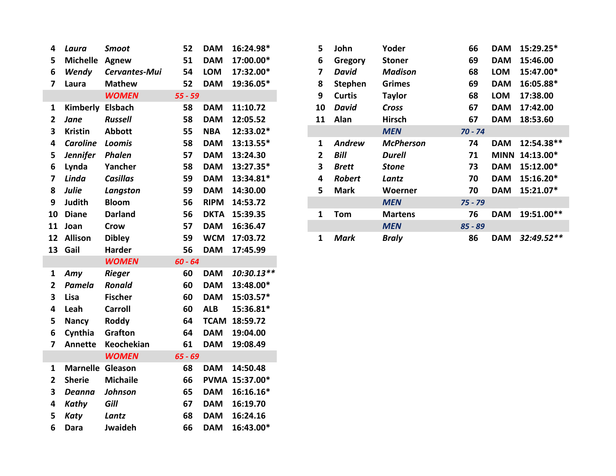| 4                       | Laura                   | <b>Smoot</b>    | 52        | <b>DAM</b>  | 16:24.98*      | 5              | John           | Yoder            |
|-------------------------|-------------------------|-----------------|-----------|-------------|----------------|----------------|----------------|------------------|
| 5                       | <b>Michelle</b>         | Agnew           | 51        | <b>DAM</b>  | 17:00.00*      | 6              | Gregory        | <b>Stoner</b>    |
| 6                       | Wendy                   | Cervantes-Mui   | 54        | <b>LOM</b>  | 17:32.00*      | $\overline{7}$ | <b>David</b>   | <b>Madison</b>   |
| $\overline{7}$          | Laura                   | <b>Mathew</b>   | 52        | <b>DAM</b>  | 19:36.05*      | 8              | <b>Stephen</b> | <b>Grimes</b>    |
|                         |                         | <b>WOMEN</b>    | $55 - 59$ |             |                | 9              | <b>Curtis</b>  | <b>Taylor</b>    |
| $\mathbf{1}$            | Kimberly                | <b>Elsbach</b>  | 58        | <b>DAM</b>  | 11:10.72       | 10             | <b>David</b>   | Cross            |
| $\mathbf{2}$            | Jane                    | <b>Russell</b>  | 58        | <b>DAM</b>  | 12:05.52       | 11             | Alan           | <b>Hirsch</b>    |
| 3                       | <b>Kristin</b>          | <b>Abbott</b>   | 55        | <b>NBA</b>  | 12:33.02*      |                |                | <b>MEN</b>       |
| 4                       | <b>Caroline</b>         | Loomis          | 58        | <b>DAM</b>  | 13:13.55*      | 1              | <b>Andrew</b>  | <b>McPherson</b> |
| 5                       | <b>Jennifer</b>         | Phalen          | 57        | <b>DAM</b>  | 13:24.30       | $\overline{2}$ | <b>Bill</b>    | <b>Durell</b>    |
| 6                       | Lynda                   | Yancher         | 58        | <b>DAM</b>  | 13:27.35*      | 3              | <b>Brett</b>   | <b>Stone</b>     |
| $\overline{\mathbf{z}}$ | Linda                   | <b>Casillas</b> | 59        | <b>DAM</b>  | 13:34.81*      | 4              | <b>Robert</b>  | Lantz            |
| 8                       | Julie                   | Langston        | 59        | <b>DAM</b>  | 14:30.00       | 5              | <b>Mark</b>    | Woerner          |
| 9                       | Judith                  | <b>Bloom</b>    | 56        | <b>RIPM</b> | 14:53.72       |                |                | <b>MEN</b>       |
| 10                      | <b>Diane</b>            | <b>Darland</b>  | 56        | <b>DKTA</b> | 15:39.35       | $\mathbf{1}$   | Tom            | <b>Martens</b>   |
| 11                      | Joan                    | <b>Crow</b>     | 57        | <b>DAM</b>  | 16:36.47       |                |                | <b>MEN</b>       |
| 12                      | Allison                 | <b>Dibley</b>   | 59        | <b>WCM</b>  | 17:03.72       | $\mathbf{1}$   | <b>Mark</b>    | <b>Braly</b>     |
| 13                      | Gail                    | <b>Harder</b>   | 56        | <b>DAM</b>  | 17:45.99       |                |                |                  |
|                         |                         | <b>WOMEN</b>    | $60 - 64$ |             |                |                |                |                  |
| $\mathbf{1}$            | Amy                     | <b>Rieger</b>   | 60        | <b>DAM</b>  | 10:30.13**     |                |                |                  |
| $\overline{2}$          | Pamela                  | <b>Ronald</b>   | 60        | <b>DAM</b>  | 13:48.00*      |                |                |                  |
| 3                       | Lisa                    | <b>Fischer</b>  | 60        | <b>DAM</b>  | 15:03.57*      |                |                |                  |
| 4                       | Leah                    | <b>Carroll</b>  | 60        | <b>ALB</b>  | 15:36.81*      |                |                |                  |
| 5                       | <b>Nancy</b>            | Roddy           | 64        |             | TCAM 18:59.72  |                |                |                  |
| 6                       | Cynthia                 | Grafton         | 64        | <b>DAM</b>  | 19:04.00       |                |                |                  |
| $\overline{7}$          | <b>Annette</b>          | Keochekian      | 61        | <b>DAM</b>  | 19:08.49       |                |                |                  |
|                         |                         | <b>WOMEN</b>    | $65 - 69$ |             |                |                |                |                  |
| $\mathbf{1}$            | <b>Marnelle Gleason</b> |                 | 68        | <b>DAM</b>  | 14:50.48       |                |                |                  |
| $\overline{2}$          | <b>Sherie</b>           | <b>Michaile</b> | 66        |             | PVMA 15:37.00* |                |                |                  |
| 3                       | <b>Deanna</b>           | Johnson         | 65        | <b>DAM</b>  | 16:16.16*      |                |                |                  |
| 4                       | Kathy                   | Gill            | 67        | <b>DAM</b>  | 16:19.70       |                |                |                  |
| 5                       | <b>Katy</b>             | Lantz           | 68        | <b>DAM</b>  | 16:24.16       |                |                |                  |
| 6                       | Dara                    | Jwaideh         | 66        | <b>DAM</b>  | 16:43.00*      |                |                |                  |

|   | 4 Laura    | Smoot           | 52      | <b>DAM</b>  | 16:24.98*    | 5.           | John           | Yoder            | 66        | <b>DAM</b> | 15:29.25*      |
|---|------------|-----------------|---------|-------------|--------------|--------------|----------------|------------------|-----------|------------|----------------|
|   | 5 Michelle | Agnew           | 51      | <b>DAM</b>  | 17:00.00*    | 6            | Gregory        | <b>Stoner</b>    | 69        | <b>DAM</b> | 15:46.00       |
| 6 | Wendy      | Cervantes-Mui   | 54      | <b>LOM</b>  | 17:32.00*    |              | David          | <b>Madison</b>   | 68        | <b>LOM</b> | 15:47.00*      |
|   | 7 Laura    | <b>Mathew</b>   | 52      | <b>DAM</b>  | 19:36.05*    | 8            | <b>Stephen</b> | <b>Grimes</b>    | 69        | <b>DAM</b> | 16:05.88*      |
|   |            | <b>WOMEN</b>    | 55 - 59 |             |              | 9            | <b>Curtis</b>  | <b>Taylor</b>    | 68        | <b>LOM</b> | 17:38.00       |
|   | 1 Kimberly | Elsbach         | 58      | <b>DAM</b>  | 11:10.72     | 10           | David          | Cross            | 67        | <b>DAM</b> | 17:42.00       |
|   | 2 Jane     | <b>Russell</b>  | 58      | <b>DAM</b>  | 12:05.52     | 11           | Alan           | Hirsch           | 67        | DAM        | 18:53.60       |
|   | 3 Kristin  | <b>Abbott</b>   | 55      | <b>NBA</b>  | 12:33.02*    |              |                | <b>MEN</b>       | $70 - 74$ |            |                |
|   | 4 Caroline | Loomis          | 58      | <b>DAM</b>  | 13:13.55*    | 1            | <b>Andrew</b>  | <b>McPherson</b> | 74        | <b>DAM</b> | 12:54.38**     |
|   | 5 Jennifer | <b>Phalen</b>   | 57      | <b>DAM</b>  | 13:24.30     | $\mathbf{2}$ | Bill           | <b>Durell</b>    | 71        |            | MINN 14:13.00* |
|   | 6 Lynda    | Yancher         | 58      | <b>DAM</b>  | $13:27.35*$  | 3            | <b>Brett</b>   | Stone            | 73        | <b>DAM</b> | 15:12.00*      |
|   | 7 Linda    | <b>Casillas</b> | 59      | <b>DAM</b>  | 13:34.81*    | 4            | <b>Robert</b>  | Lantz            | 70        | <b>DAM</b> | 15:16.20*      |
|   | 8 Julie    | Langston        | 59      | <b>DAM</b>  | 14:30.00     | 5.           | Mark           | Woerner          | 70        | <b>DAM</b> | 15:21.07*      |
|   | 9 Judith   | <b>Bloom</b>    | 56      | <b>RIPM</b> | 14:53.72     |              |                | <b>MEN</b>       | $75 - 79$ |            |                |
|   | 10 Diane   | <b>Darland</b>  | 56      | <b>DKTA</b> | 15:39.35     | $\mathbf{1}$ | Tom            | <b>Martens</b>   | 76        | <b>DAM</b> | 19:51.00**     |
|   | 11 Joan    | Crow            | 57      | <b>DAM</b>  | 16:36.47     |              |                | <b>MEN</b>       | $85 - 89$ |            |                |
|   | 12 Allison | <b>Dibley</b>   | 59      |             | WCM 17:03.72 | 1            | Mark           | <b>Braly</b>     | 86        | DAM        | 32:49.52**     |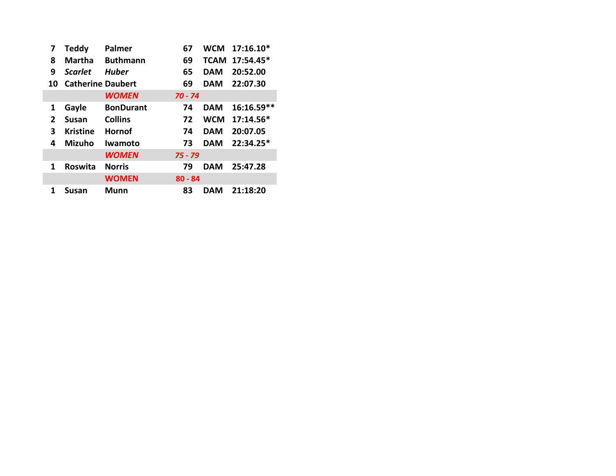| 7  | <b>Teddy</b>             | Palmer           | 67        |            | WCM 17:16.10*  |
|----|--------------------------|------------------|-----------|------------|----------------|
| 8  | <b>Martha</b>            | <b>Buthmann</b>  | 69        |            | TCAM 17:54.45* |
| 9  | <b>Scarlet</b>           | <b>Huber</b>     | 65        | <b>DAM</b> | 20:52.00       |
| 10 | <b>Catherine Daubert</b> |                  | 69        | <b>DAM</b> | 22:07.30       |
|    |                          | <b>WOMEN</b>     | $70 - 74$ |            |                |
| 1  | Gayle                    | <b>BonDurant</b> | 74        | <b>DAM</b> | $16:16.59**$   |
| 2  | <b>Susan</b>             | <b>Collins</b>   | 72        | <b>WCM</b> | 17:14.56*      |
| 3  | <b>Kristine</b>          | Hornof           | 74        | <b>DAM</b> | 20:07.05       |
| 4  | <b>Mizuho</b>            | <b>Iwamoto</b>   | 73        | <b>DAM</b> | 22:34.25*      |
|    |                          | <b>WOMEN</b>     | $75 - 79$ |            |                |
| 1  | Roswita                  | <b>Norris</b>    | 79        | <b>DAM</b> | 25:47.28       |
|    |                          | <b>WOMEN</b>     | $80 - 84$ |            |                |
| 1  | Susan                    | Munn             | 83        | DAM        | 21:18:20       |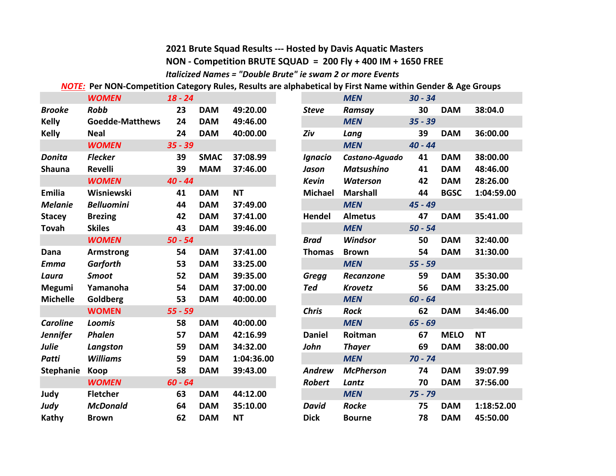## **2021 Brute Squad Results --- Hosted by Davis Aquatic Masters**

#### **NON - Competition BRUTE SQUAD = 200 Fly + 400 IM + 1650 FREE**

*Italicized Names = "Double Brute" ie swam 2 or more Events*

*NOTE:* **Per NON-Competition Category Rules, Results are alphabetical by First Name within Gender & Age Groups**

|                  | <b>WOMEN</b>           | $18 - 24$ |             |            |                | <b>MEN</b>        | $30 - 34$ |             |  |
|------------------|------------------------|-----------|-------------|------------|----------------|-------------------|-----------|-------------|--|
| <b>Brooke</b>    | <b>Robb</b>            | 23        | <b>DAM</b>  | 49:20.00   | <b>Steve</b>   | Ramsay            | 30        | <b>DAM</b>  |  |
| <b>Kelly</b>     | <b>Goedde-Matthews</b> | 24        | <b>DAM</b>  | 49:46.00   |                | <b>MEN</b>        | $35 - 39$ |             |  |
| <b>Kelly</b>     | <b>Neal</b>            | 24        | <b>DAM</b>  | 40:00.00   | Ziv            | Lang              | 39        | <b>DAM</b>  |  |
|                  | <b>WOMEN</b>           | $35 - 39$ |             |            |                | <b>MEN</b>        | $40 - 44$ |             |  |
| <b>Donita</b>    | <b>Flecker</b>         | 39        | <b>SMAC</b> | 37:08.99   | Ignacio        | Castano-Aguado    | 41        | <b>DAM</b>  |  |
| <b>Shauna</b>    | <b>Revelli</b>         | 39        | <b>MAM</b>  | 37:46.00   | Jason          | <b>Matsushino</b> | 41        | <b>DAM</b>  |  |
|                  | <b>WOMEN</b>           | $40 - 44$ |             |            | <b>Kevin</b>   | <b>Waterson</b>   | 42        | <b>DAM</b>  |  |
| Emilia           | Wisniewski             | 41        | <b>DAM</b>  | <b>NT</b>  | <b>Michael</b> | <b>Marshall</b>   | 44        | <b>BGSC</b> |  |
| <b>Melanie</b>   | <b>Belluomini</b>      | 44        | <b>DAM</b>  | 37:49.00   |                | <b>MEN</b>        | $45 - 49$ |             |  |
| <b>Stacey</b>    | <b>Brezing</b>         | 42        | <b>DAM</b>  | 37:41.00   | Hendel         | <b>Almetus</b>    | 47        | <b>DAM</b>  |  |
| <b>Tovah</b>     | <b>Skiles</b>          | 43        | <b>DAM</b>  | 39:46.00   |                | <b>MEN</b>        | $50 - 54$ |             |  |
|                  | <b>WOMEN</b>           | $50 - 54$ |             |            | <b>Brad</b>    | <b>Windsor</b>    | 50        | <b>DAM</b>  |  |
| Dana             | <b>Armstrong</b>       | 54        | <b>DAM</b>  | 37:41.00   | <b>Thomas</b>  | <b>Brown</b>      | 54        | <b>DAM</b>  |  |
| <b>Emma</b>      | <b>Garforth</b>        | 53        | <b>DAM</b>  | 33:25.00   |                | <b>MEN</b>        | $55 - 59$ |             |  |
| Laura            | <b>Smoot</b>           | 52        | <b>DAM</b>  | 39:35.00   | <b>Gregg</b>   | <b>Recanzone</b>  | 59        | <b>DAM</b>  |  |
| <b>Megumi</b>    | Yamanoha               | 54        | <b>DAM</b>  | 37:00.00   | Ted            | <b>Krovetz</b>    | 56        | <b>DAM</b>  |  |
| <b>Michelle</b>  | Goldberg               | 53        | <b>DAM</b>  | 40:00.00   |                | <b>MEN</b>        | $60 - 64$ |             |  |
|                  | <b>WOMEN</b>           | $55 - 59$ |             |            | <b>Chris</b>   | <b>Rock</b>       | 62        | <b>DAM</b>  |  |
| <b>Caroline</b>  | <b>Loomis</b>          | 58        | <b>DAM</b>  | 40:00.00   |                | <b>MEN</b>        | $65 - 69$ |             |  |
| <b>Jennifer</b>  | Phalen                 | 57        | <b>DAM</b>  | 42:16.99   | <b>Daniel</b>  | Roitman           | 67        | <b>MELO</b> |  |
| <b>Julie</b>     | Langston               | 59        | <b>DAM</b>  | 34:32.00   | John           | <b>Thayer</b>     | 69        | <b>DAM</b>  |  |
| <b>Patti</b>     | <b>Williams</b>        | 59        | <b>DAM</b>  | 1:04:36.00 |                | <b>MEN</b>        | $70 - 74$ |             |  |
| <b>Stephanie</b> | Koop                   | 58        | <b>DAM</b>  | 39:43.00   | <b>Andrew</b>  | <b>McPherson</b>  | 74        | <b>DAM</b>  |  |
|                  | <b>WOMEN</b>           | $60 - 64$ |             |            | <b>Robert</b>  | Lantz             | 70        | <b>DAM</b>  |  |
| Judy             | <b>Fletcher</b>        | 63        | <b>DAM</b>  | 44:12.00   |                | <b>MEN</b>        | $75 - 79$ |             |  |
| Judy             | <b>McDonald</b>        | 64        | <b>DAM</b>  | 35:10.00   | <b>David</b>   | <b>Rocke</b>      | 75        | <b>DAM</b>  |  |
| Kathy            | <b>Brown</b>           | 62        | <b>DAM</b>  | <b>NT</b>  | <b>Dick</b>    | <b>Bourne</b>     | 78        | <b>DAM</b>  |  |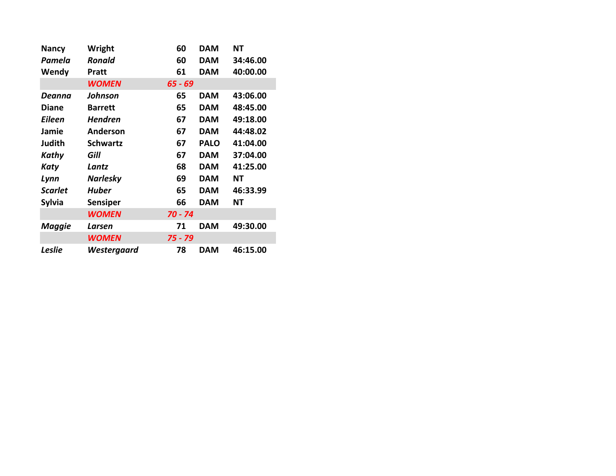| <b>Nancy</b>   | Wright          | 60        | <b>DAM</b>  | ΝT       |
|----------------|-----------------|-----------|-------------|----------|
| Pamela         | <b>Ronald</b>   | 60        | <b>DAM</b>  | 34:46.00 |
| Wendy          | <b>Pratt</b>    | 61        | <b>DAM</b>  | 40:00.00 |
|                | <b>WOMEN</b>    | $65 - 69$ |             |          |
| Deanna         | Johnson         | 65        | <b>DAM</b>  | 43:06.00 |
| <b>Diane</b>   | <b>Barrett</b>  | 65        | <b>DAM</b>  | 48:45.00 |
| <b>Eileen</b>  | <b>Hendren</b>  | 67        | <b>DAM</b>  | 49:18.00 |
| Jamie          | Anderson        | 67        | <b>DAM</b>  | 44:48.02 |
| Judith         | <b>Schwartz</b> | 67        | <b>PALO</b> | 41:04.00 |
| Kathy          | Gill            | 67        | <b>DAM</b>  | 37:04.00 |
| Katy           | Lantz           | 68        | <b>DAM</b>  | 41:25.00 |
| Lynn           | <b>Narlesky</b> | 69        | <b>DAM</b>  | ΝT       |
| <b>Scarlet</b> | <b>Huber</b>    | 65        | <b>DAM</b>  | 46:33.99 |
| <b>Sylvia</b>  | <b>Sensiper</b> | 66        | <b>DAM</b>  | NΤ       |
|                | <b>WOMEN</b>    | $70 - 74$ |             |          |
| <b>Maggie</b>  | Larsen          | 71        | <b>DAM</b>  | 49:30.00 |
|                | <b>WOMEN</b>    | 75 - 79   |             |          |
| <b>Leslie</b>  | Westergaard     | 78        | <b>DAM</b>  | 46:15.00 |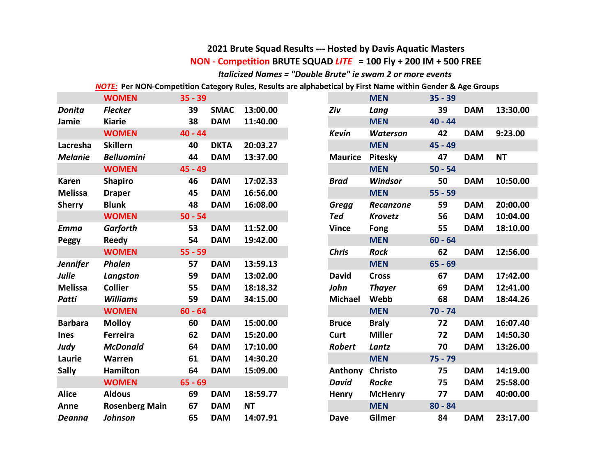#### **NON - Competition BRUTE SQUAD** *LITE* **= 100 Fly + 200 IM + 500 FREE 2021 Brute Squad Results --- Hosted by Davis Aquatic Masters**

*Italicized Names = "Double Brute" ie swam 2 or more events*

*NOTE:* **Per NON-Competition Category Rules, Results are alphabetical by First Name within Gender & Age Groups**

| <b>WOMEN</b><br>$35 - 39$                 |                         | <b>MEN</b>                     | $35 - 39$ |
|-------------------------------------------|-------------------------|--------------------------------|-----------|
| <b>Flecker</b><br>39<br>Donita            | <b>SMAC</b><br>13:00.00 | Ziv<br>Lang                    | 39        |
| 38<br><b>Kiarie</b><br>Jamie              | <b>DAM</b><br>11:40.00  | <b>MEN</b>                     | $40 - 44$ |
| $40 - 44$<br><b>WOMEN</b>                 |                         | <b>Kevin</b><br>Waterson       | 42        |
| <b>Skillern</b><br>40<br>Lacresha         | 20:03.27<br><b>DKTA</b> | <b>MEN</b>                     | 45 - 49   |
| <b>Melanie</b><br><b>Belluomini</b><br>44 | <b>DAM</b><br>13:37.00  | Pitesky<br><b>Maurice</b>      | 47        |
| 45 - 49<br><b>WOMEN</b>                   |                         | <b>MEN</b>                     | $50 - 54$ |
| <b>Shapiro</b><br>46<br><b>Karen</b>      | <b>DAM</b><br>17:02.33  | <b>Windsor</b><br><b>Brad</b>  | 50        |
| <b>Melissa</b><br>45<br><b>Draper</b>     | <b>DAM</b><br>16:56.00  | <b>MEN</b>                     | $55 - 59$ |
| <b>Blunk</b><br>48<br><b>Sherry</b>       | <b>DAM</b><br>16:08.00  | <b>Gregg</b><br>Recanzone      | 59        |
| <b>WOMEN</b><br>$50 - 54$                 |                         | <b>Ted</b><br><b>Krovetz</b>   | 56        |
| <b>Garforth</b><br>53<br><b>Emma</b>      | 11:52.00<br><b>DAM</b>  | <b>Vince</b><br>Fong           | 55        |
| 54<br>Reedy<br><b>Peggy</b>               | <b>DAM</b><br>19:42.00  | <b>MEN</b>                     | $60 - 64$ |
| <b>WOMEN</b><br>$55 - 59$                 |                         | <b>Chris</b><br><b>Rock</b>    | 62        |
| Phalen<br>57<br><b>Jennifer</b>           | 13:59.13<br><b>DAM</b>  | <b>MEN</b>                     | $65 - 69$ |
| 59<br>Langston                            | <b>DAM</b><br>13:02.00  | <b>David</b><br><b>Cross</b>   | 67        |
| <b>Melissa</b><br><b>Collier</b><br>55    | 18:18.32<br><b>DAM</b>  | John<br><b>Thayer</b>          | 69        |
| 59<br><b>Williams</b><br>Patti            | <b>DAM</b><br>34:15.00  | Webb<br><b>Michael</b>         | 68        |
| $60 - 64$<br><b>WOMEN</b>                 |                         | <b>MEN</b>                     | $70 - 74$ |
| <b>Barbara</b><br><b>Molloy</b><br>60     | <b>DAM</b><br>15:00.00  | <b>Braly</b><br><b>Bruce</b>   | 72        |
| <b>Ferreira</b><br>62                     | <b>DAM</b><br>15:20.00  | <b>Miller</b><br>Curt          | 72        |
| Judy<br><b>McDonald</b><br>64             | <b>DAM</b><br>17:10.00  | <b>Robert</b><br>Lantz         | 70        |
| 61<br>Laurie<br>Warren                    | <b>DAM</b><br>14:30.20  | <b>MEN</b>                     | $75 - 79$ |
| <b>Sally</b><br><b>Hamilton</b><br>64     | <b>DAM</b><br>15:09.00  | <b>Christo</b><br>Anthony      | 75        |
| $65 - 69$<br><b>WOMEN</b>                 |                         | <b>David</b><br><b>Rocke</b>   | 75        |
| <b>Aldous</b><br><b>Alice</b><br>69       | <b>DAM</b><br>18:59.77  | <b>McHenry</b><br><b>Henry</b> | 77        |
| 67<br>Anne<br><b>Rosenberg Main</b>       | <b>DAM</b><br><b>NT</b> | <b>MEN</b>                     | $80 - 84$ |
| <b>Johnson</b><br>65<br>Deanna            | <b>DAM</b><br>14:07.91  | Gilmer<br><b>Dave</b>          | 84        |